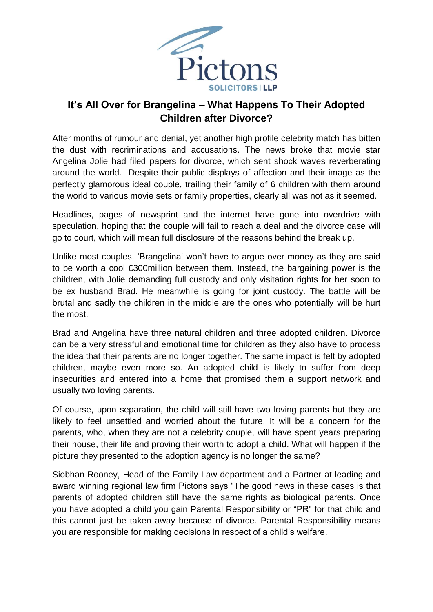

## **It's All Over for Brangelina – What Happens To Their Adopted Children after Divorce?**

After months of rumour and denial, yet another high profile celebrity match has bitten the dust with recriminations and accusations. The news broke that movie star Angelina Jolie had filed papers for divorce, which sent shock waves reverberating around the world. Despite their public displays of affection and their image as the perfectly glamorous ideal couple, trailing their family of 6 children with them around the world to various movie sets or family properties, clearly all was not as it seemed.

Headlines, pages of newsprint and the internet have gone into overdrive with speculation, hoping that the couple will fail to reach a deal and the divorce case will go to court, which will mean full disclosure of the reasons behind the break up.

Unlike most couples, 'Brangelina' won't have to argue over money as they are said to be worth a cool £300million between them. Instead, the bargaining power is the children, with Jolie demanding full custody and only visitation rights for her soon to be ex husband Brad. He meanwhile is going for joint custody. The battle will be brutal and sadly the children in the middle are the ones who potentially will be hurt the most.

Brad and Angelina have three natural children and three adopted children. Divorce can be a very stressful and emotional time for children as they also have to process the idea that their parents are no longer together. The same impact is felt by adopted children, maybe even more so. An adopted child is likely to suffer from deep insecurities and entered into a home that promised them a support network and usually two loving parents.

Of course, upon separation, the child will still have two loving parents but they are likely to feel unsettled and worried about the future. It will be a concern for the parents, who, when they are not a celebrity couple, will have spent years preparing their house, their life and proving their worth to adopt a child. What will happen if the picture they presented to the adoption agency is no longer the same?

Siobhan Rooney, Head of the Family Law department and a Partner at leading and award winning regional law firm Pictons says "The good news in these cases is that parents of adopted children still have the same rights as biological parents. Once you have adopted a child you gain Parental Responsibility or "PR" for that child and this cannot just be taken away because of divorce. Parental Responsibility means you are responsible for making decisions in respect of a child's welfare.